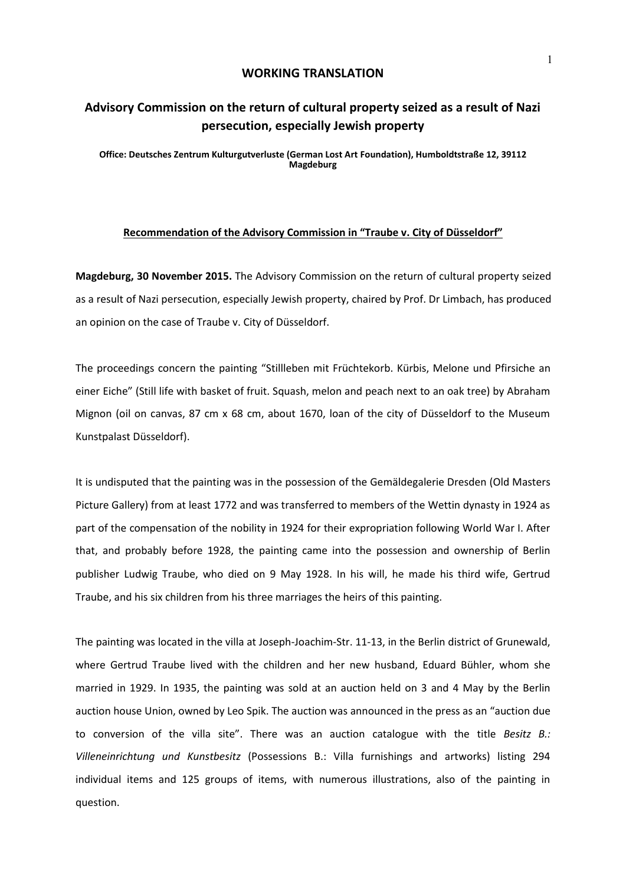## **WORKING TRANSLATION**

## **Advisory Commission on the return of cultural property seized as a result of Nazi persecution, especially Jewish property**

**Office: Deutsches Zentrum Kulturgutverluste (German Lost Art Foundation), Humboldtstraße 12, 39112 Magdeburg**

## **Recommendation of the Advisory Commission in "Traube v. City of Düsseldorf"**

**Magdeburg, 30 November 2015.** The Advisory Commission on the return of cultural property seized as a result of Nazi persecution, especially Jewish property, chaired by Prof. Dr Limbach, has produced an opinion on the case of Traube v. City of Düsseldorf.

The proceedings concern the painting "Stillleben mit Früchtekorb. Kürbis, Melone und Pfirsiche an einer Eiche" (Still life with basket of fruit. Squash, melon and peach next to an oak tree) by Abraham Mignon (oil on canvas, 87 cm x 68 cm, about 1670, loan of the city of Düsseldorf to the Museum Kunstpalast Düsseldorf).

It is undisputed that the painting was in the possession of the Gemäldegalerie Dresden (Old Masters Picture Gallery) from at least 1772 and was transferred to members of the Wettin dynasty in 1924 as part of the compensation of the nobility in 1924 for their expropriation following World War I. After that, and probably before 1928, the painting came into the possession and ownership of Berlin publisher Ludwig Traube, who died on 9 May 1928. In his will, he made his third wife, Gertrud Traube, and his six children from his three marriages the heirs of this painting.

The painting was located in the villa at Joseph-Joachim-Str. 11-13, in the Berlin district of Grunewald, where Gertrud Traube lived with the children and her new husband, Eduard Bühler, whom she married in 1929. In 1935, the painting was sold at an auction held on 3 and 4 May by the Berlin auction house Union, owned by Leo Spik. The auction was announced in the press as an "auction due to conversion of the villa site". There was an auction catalogue with the title *Besitz B.: Villeneinrichtung und Kunstbesitz* (Possessions B.: Villa furnishings and artworks) listing 294 individual items and 125 groups of items, with numerous illustrations, also of the painting in question.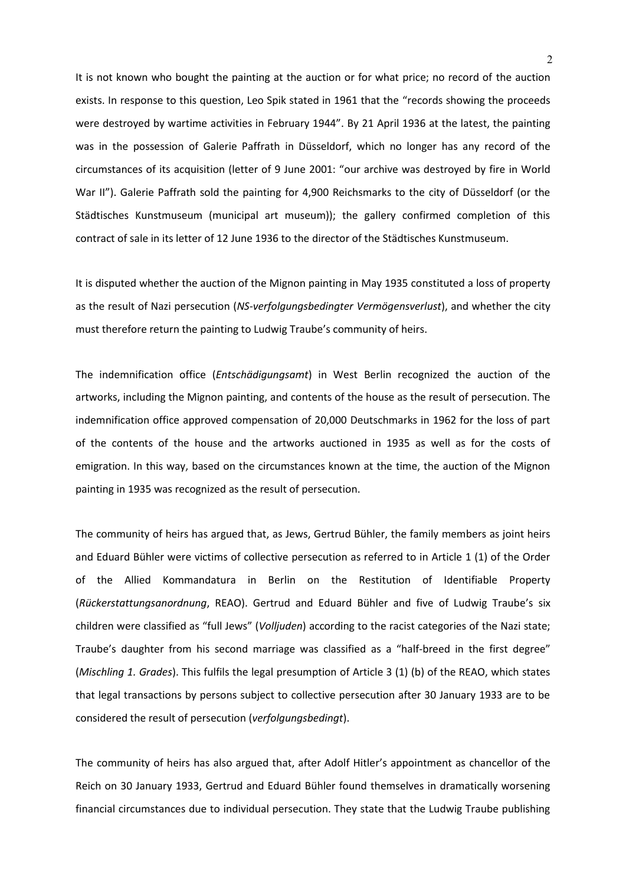It is not known who bought the painting at the auction or for what price; no record of the auction exists. In response to this question, Leo Spik stated in 1961 that the "records showing the proceeds were destroyed by wartime activities in February 1944". By 21 April 1936 at the latest, the painting was in the possession of Galerie Paffrath in Düsseldorf, which no longer has any record of the circumstances of its acquisition (letter of 9 June 2001: "our archive was destroyed by fire in World War II"). Galerie Paffrath sold the painting for 4,900 Reichsmarks to the city of Düsseldorf (or the Städtisches Kunstmuseum (municipal art museum)); the gallery confirmed completion of this contract of sale in its letter of 12 June 1936 to the director of the Städtisches Kunstmuseum.

It is disputed whether the auction of the Mignon painting in May 1935 constituted a loss of property as the result of Nazi persecution (*NS-verfolgungsbedingter Vermögensverlust*), and whether the city must therefore return the painting to Ludwig Traube's community of heirs.

The indemnification office (*Entschädigungsamt*) in West Berlin recognized the auction of the artworks, including the Mignon painting, and contents of the house as the result of persecution. The indemnification office approved compensation of 20,000 Deutschmarks in 1962 for the loss of part of the contents of the house and the artworks auctioned in 1935 as well as for the costs of emigration. In this way, based on the circumstances known at the time, the auction of the Mignon painting in 1935 was recognized as the result of persecution.

The community of heirs has argued that, as Jews, Gertrud Bühler, the family members as joint heirs and Eduard Bühler were victims of collective persecution as referred to in Article 1 (1) of the Order of the Allied Kommandatura in Berlin on the Restitution of Identifiable Property (*Rückerstattungsanordnung*, REAO). Gertrud and Eduard Bühler and five of Ludwig Traube's six children were classified as "full Jews" (*Volljuden*) according to the racist categories of the Nazi state; Traube's daughter from his second marriage was classified as a "half-breed in the first degree" (*Mischling 1. Grades*). This fulfils the legal presumption of Article 3 (1) (b) of the REAO, which states that legal transactions by persons subject to collective persecution after 30 January 1933 are to be considered the result of persecution (*verfolgungsbedingt*).

The community of heirs has also argued that, after Adolf Hitler's appointment as chancellor of the Reich on 30 January 1933, Gertrud and Eduard Bühler found themselves in dramatically worsening financial circumstances due to individual persecution. They state that the Ludwig Traube publishing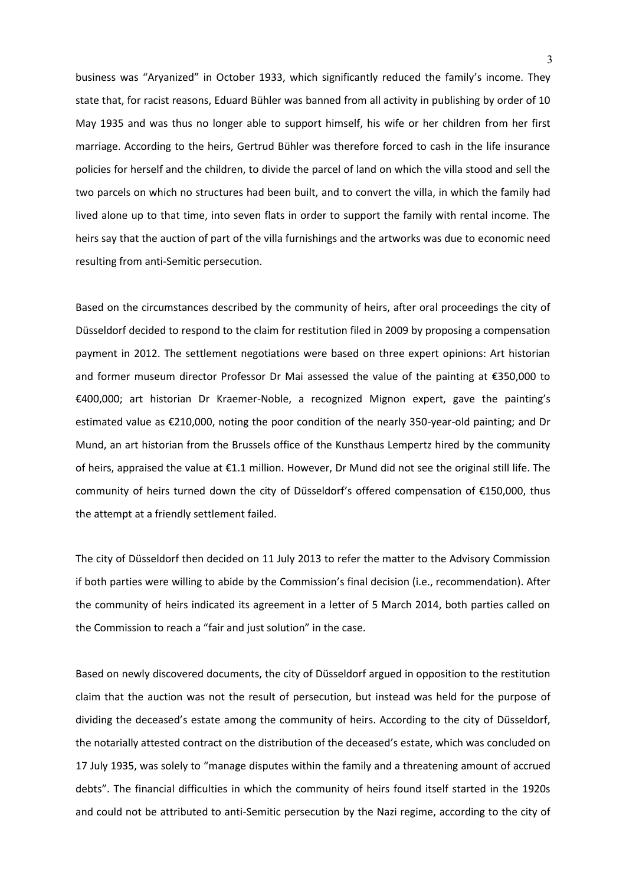business was "Aryanized" in October 1933, which significantly reduced the family's income. They state that, for racist reasons, Eduard Bühler was banned from all activity in publishing by order of 10 May 1935 and was thus no longer able to support himself, his wife or her children from her first marriage. According to the heirs, Gertrud Bühler was therefore forced to cash in the life insurance policies for herself and the children, to divide the parcel of land on which the villa stood and sell the two parcels on which no structures had been built, and to convert the villa, in which the family had lived alone up to that time, into seven flats in order to support the family with rental income. The heirs say that the auction of part of the villa furnishings and the artworks was due to economic need resulting from anti-Semitic persecution.

Based on the circumstances described by the community of heirs, after oral proceedings the city of Düsseldorf decided to respond to the claim for restitution filed in 2009 by proposing a compensation payment in 2012. The settlement negotiations were based on three expert opinions: Art historian and former museum director Professor Dr Mai assessed the value of the painting at €350,000 to €400,000; art historian Dr Kraemer-Noble, a recognized Mignon expert, gave the painting's estimated value as €210,000, noting the poor condition of the nearly 350-year-old painting; and Dr Mund, an art historian from the Brussels office of the Kunsthaus Lempertz hired by the community of heirs, appraised the value at €1.1 million. However, Dr Mund did not see the original still life. The community of heirs turned down the city of Düsseldorf's offered compensation of €150,000, thus the attempt at a friendly settlement failed.

The city of Düsseldorf then decided on 11 July 2013 to refer the matter to the Advisory Commission if both parties were willing to abide by the Commission's final decision (i.e., recommendation). After the community of heirs indicated its agreement in a letter of 5 March 2014, both parties called on the Commission to reach a "fair and just solution" in the case.

Based on newly discovered documents, the city of Düsseldorf argued in opposition to the restitution claim that the auction was not the result of persecution, but instead was held for the purpose of dividing the deceased's estate among the community of heirs. According to the city of Düsseldorf, the notarially attested contract on the distribution of the deceased's estate, which was concluded on 17 July 1935, was solely to "manage disputes within the family and a threatening amount of accrued debts". The financial difficulties in which the community of heirs found itself started in the 1920s and could not be attributed to anti-Semitic persecution by the Nazi regime, according to the city of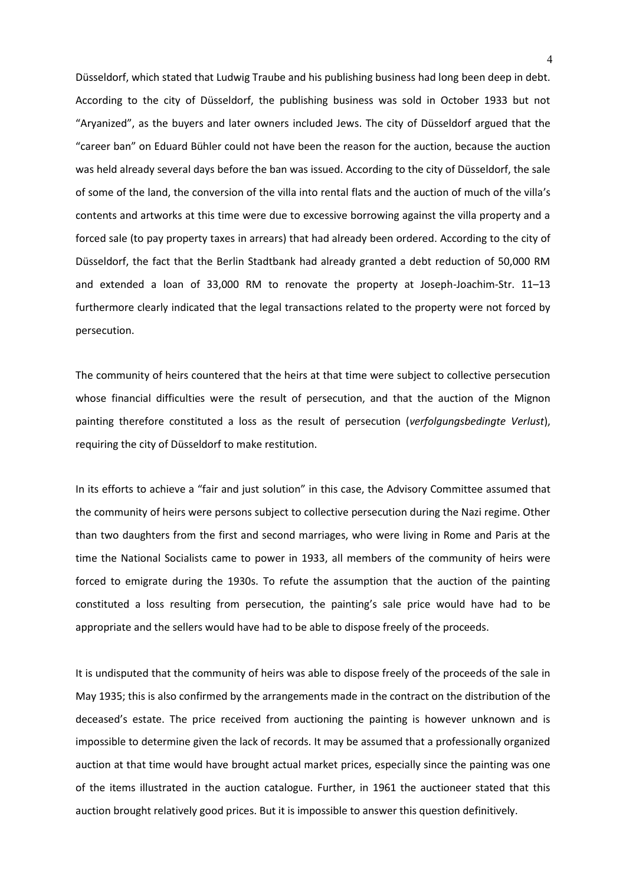Düsseldorf, which stated that Ludwig Traube and his publishing business had long been deep in debt. According to the city of Düsseldorf, the publishing business was sold in October 1933 but not "Aryanized", as the buyers and later owners included Jews. The city of Düsseldorf argued that the "career ban" on Eduard Bühler could not have been the reason for the auction, because the auction was held already several days before the ban was issued. According to the city of Düsseldorf, the sale of some of the land, the conversion of the villa into rental flats and the auction of much of the villa's contents and artworks at this time were due to excessive borrowing against the villa property and a forced sale (to pay property taxes in arrears) that had already been ordered. According to the city of Düsseldorf, the fact that the Berlin Stadtbank had already granted a debt reduction of 50,000 RM and extended a loan of 33,000 RM to renovate the property at Joseph-Joachim-Str. 11–13 furthermore clearly indicated that the legal transactions related to the property were not forced by persecution.

The community of heirs countered that the heirs at that time were subject to collective persecution whose financial difficulties were the result of persecution, and that the auction of the Mignon painting therefore constituted a loss as the result of persecution (*verfolgungsbedingte Verlust*), requiring the city of Düsseldorf to make restitution.

In its efforts to achieve a "fair and just solution" in this case, the Advisory Committee assumed that the community of heirs were persons subject to collective persecution during the Nazi regime. Other than two daughters from the first and second marriages, who were living in Rome and Paris at the time the National Socialists came to power in 1933, all members of the community of heirs were forced to emigrate during the 1930s. To refute the assumption that the auction of the painting constituted a loss resulting from persecution, the painting's sale price would have had to be appropriate and the sellers would have had to be able to dispose freely of the proceeds.

It is undisputed that the community of heirs was able to dispose freely of the proceeds of the sale in May 1935; this is also confirmed by the arrangements made in the contract on the distribution of the deceased's estate. The price received from auctioning the painting is however unknown and is impossible to determine given the lack of records. It may be assumed that a professionally organized auction at that time would have brought actual market prices, especially since the painting was one of the items illustrated in the auction catalogue. Further, in 1961 the auctioneer stated that this auction brought relatively good prices. But it is impossible to answer this question definitively.